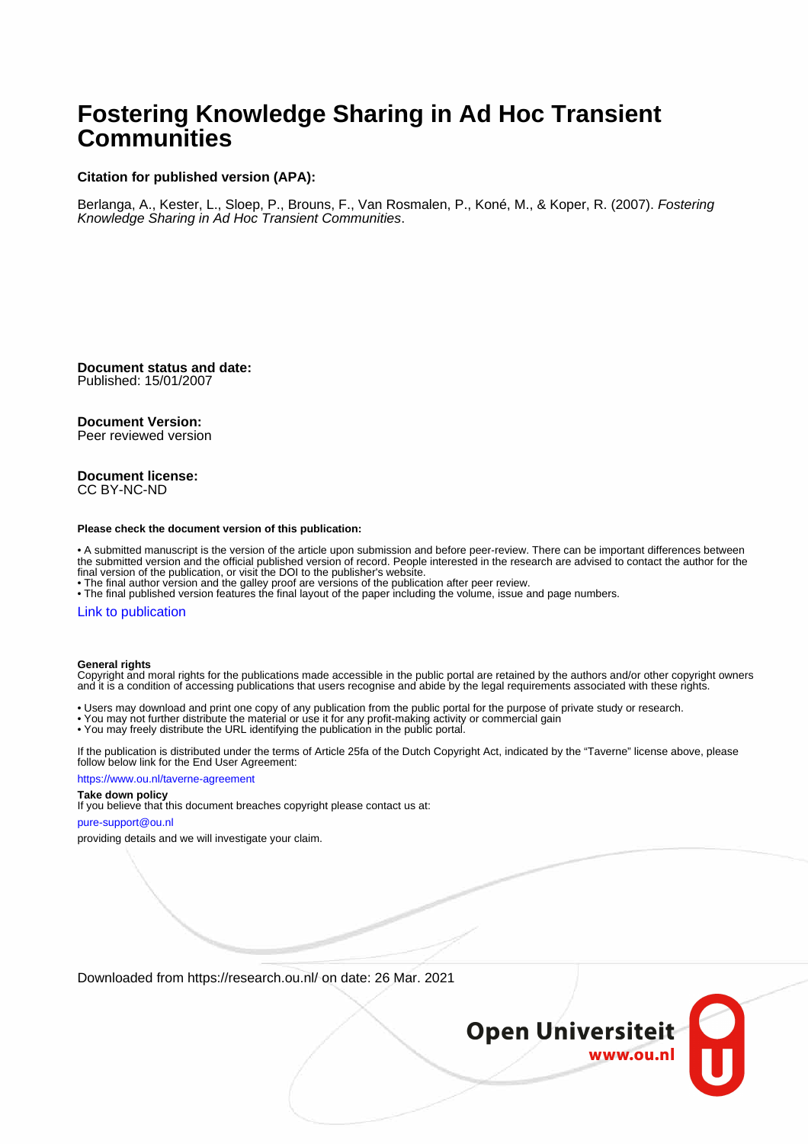## **Fostering Knowledge Sharing in Ad Hoc Transient Communities**

#### **Citation for published version (APA):**

Berlanga, A., Kester, L., Sloep, P., Brouns, F., Van Rosmalen, P., Koné, M., & Koper, R. (2007). Fostering Knowledge Sharing in Ad Hoc Transient Communities.

**Document status and date:** Published: 15/01/2007

#### **Document Version:**

Peer reviewed version

#### **Document license:** CC BY-NC-ND

#### **Please check the document version of this publication:**

• A submitted manuscript is the version of the article upon submission and before peer-review. There can be important differences between the submitted version and the official published version of record. People interested in the research are advised to contact the author for the final version of the publication, or visit the DOI to the publisher's website.

• The final author version and the galley proof are versions of the publication after peer review.

• The final published version features the final layout of the paper including the volume, issue and page numbers.

### [Link to publication](https://research.ou.nl/en/publications/6c2190b1-10be-4ae6-8cc6-7a47a5245b37)

#### **General rights**

Copyright and moral rights for the publications made accessible in the public portal are retained by the authors and/or other copyright owners and it is a condition of accessing publications that users recognise and abide by the legal requirements associated with these rights.

- Users may download and print one copy of any publication from the public portal for the purpose of private study or research.
- You may not further distribute the material or use it for any profit-making activity or commercial gain
- You may freely distribute the URL identifying the publication in the public portal.

If the publication is distributed under the terms of Article 25fa of the Dutch Copyright Act, indicated by the "Taverne" license above, please follow below link for the End User Agreement:

#### https://www.ou.nl/taverne-agreement

## **Take down policy**

If you believe that this document breaches copyright please contact us at:

#### pure-support@ou.nl

providing details and we will investigate your claim.

Downloaded from https://research.ou.nl/ on date: 26 Mar. 2021

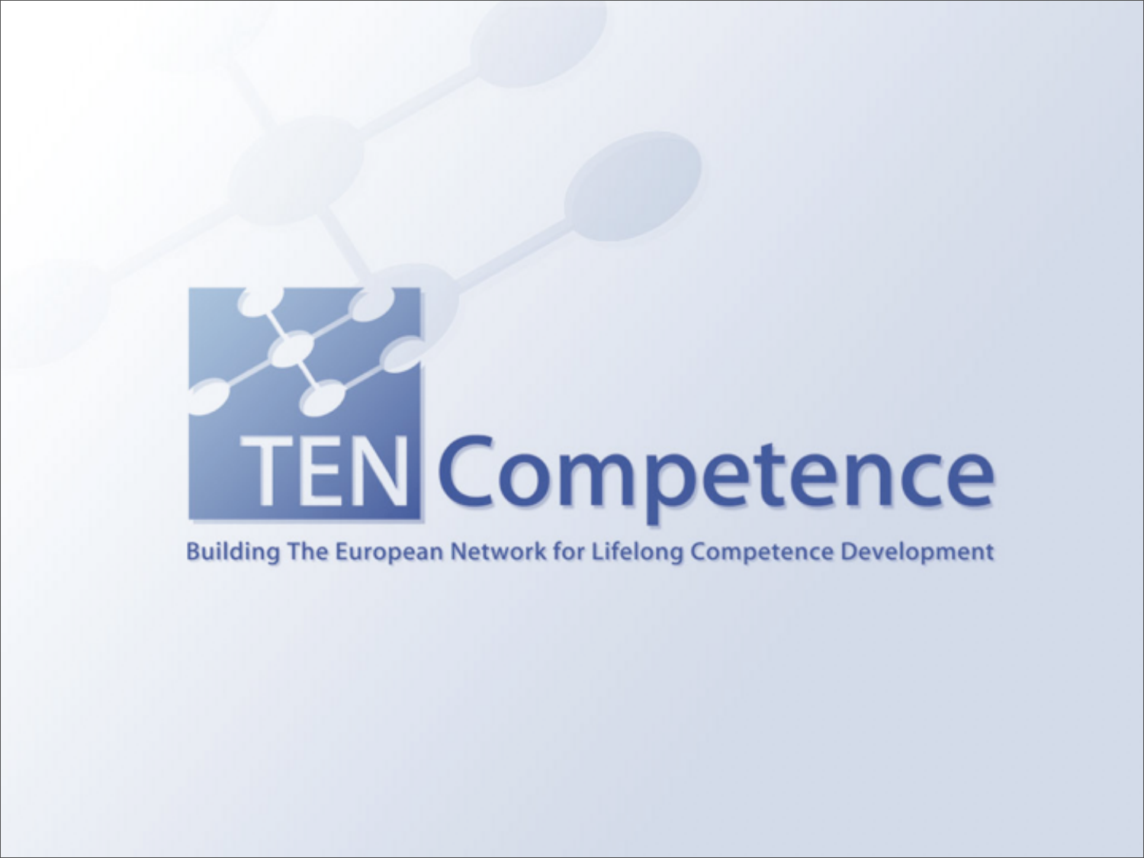# **TEN Competence**

## **Building The European Network for Lifelong Competence Development**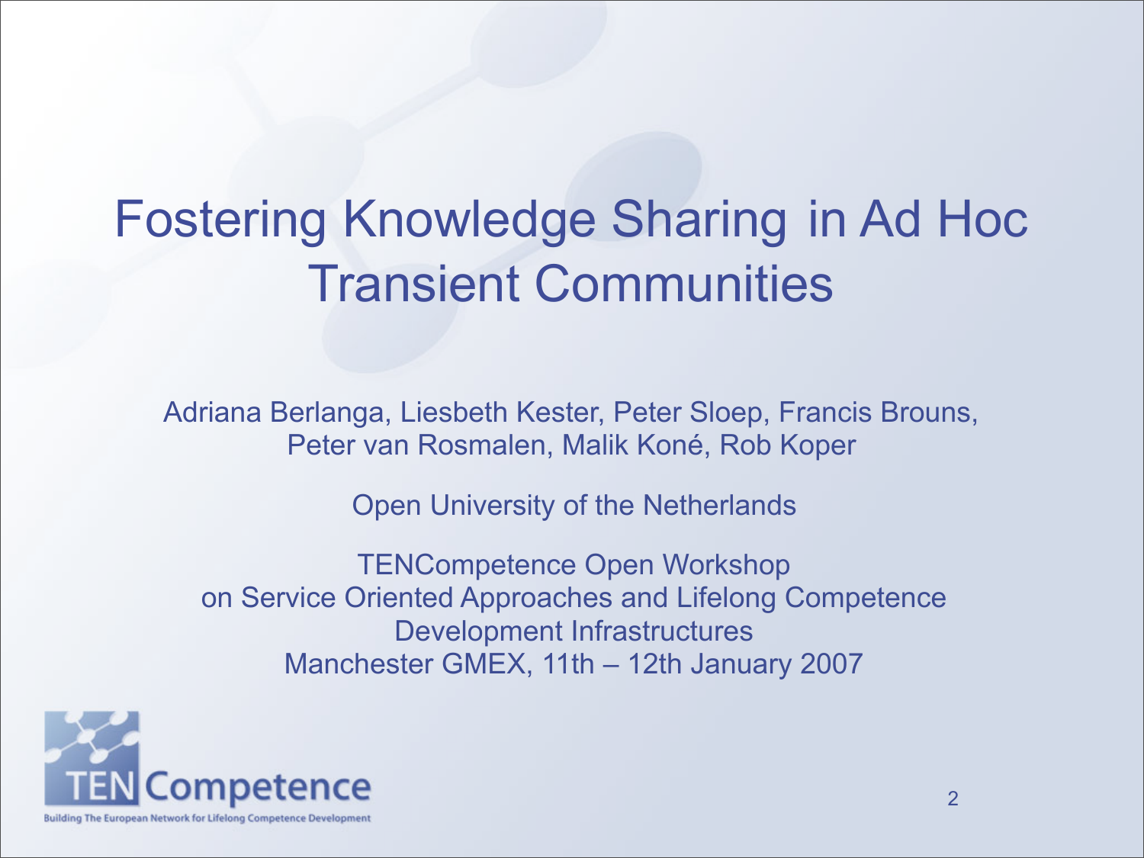## Fostering Knowledge Sharing in Ad Hoc Transient Communities

Adriana Berlanga, Liesbeth Kester, Peter Sloep, Francis Brouns, Peter van Rosmalen, Malik Koné, Rob Koper

Open University of the Netherlands

TENCompetence Open Workshop on Service Oriented Approaches and Lifelong Competence Development Infrastructures Manchester GMEX, 11th – 12th January 2007

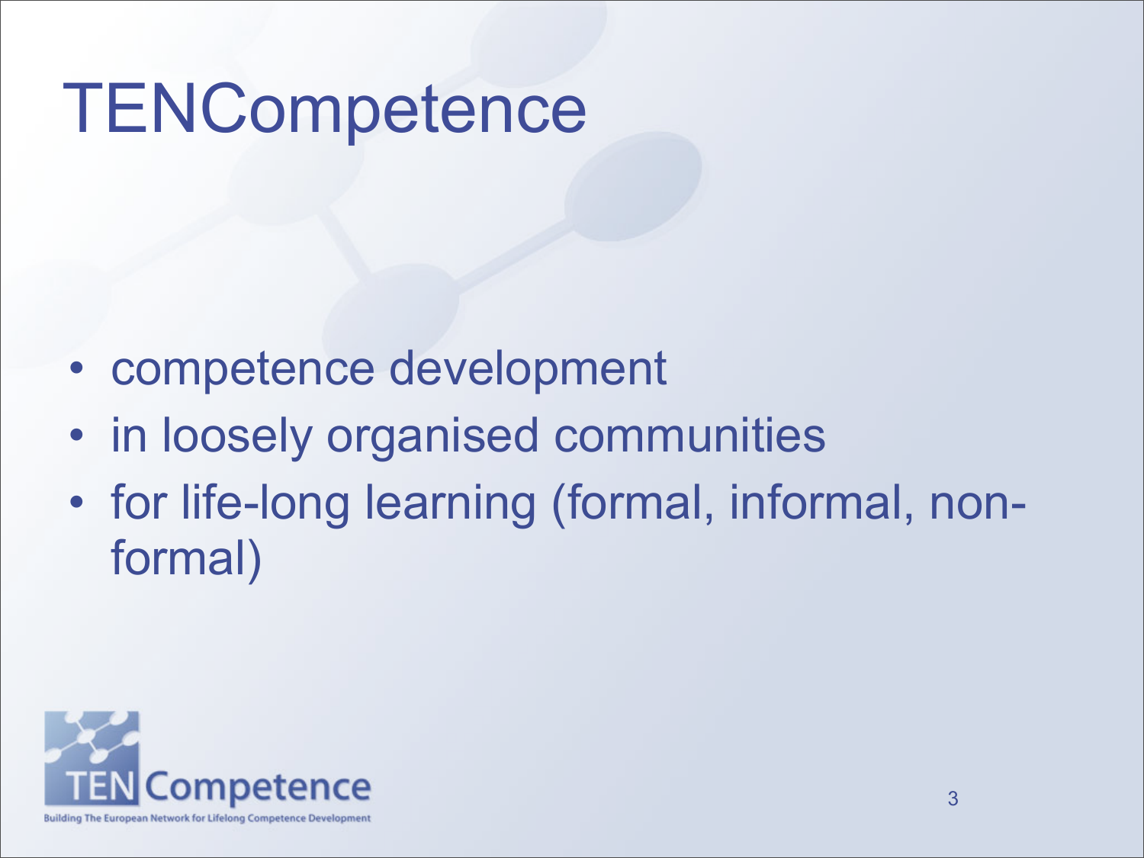# **TENCompetence**

- competence development
- in loosely organised communities
- for life-long learning (formal, informal, nonformal)

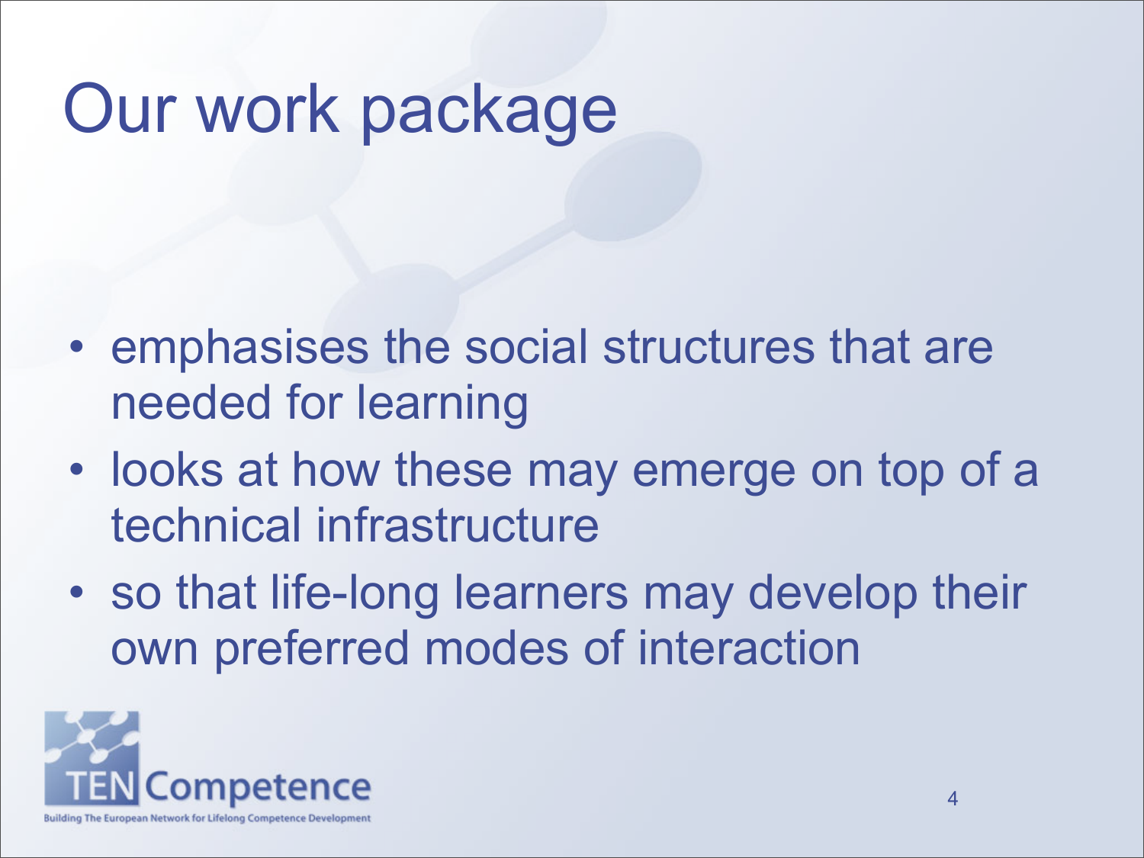# Our work package

- emphasises the social structures that are needed for learning
- looks at how these may emerge on top of a technical infrastructure
- so that life-long learners may develop their own preferred modes of interaction

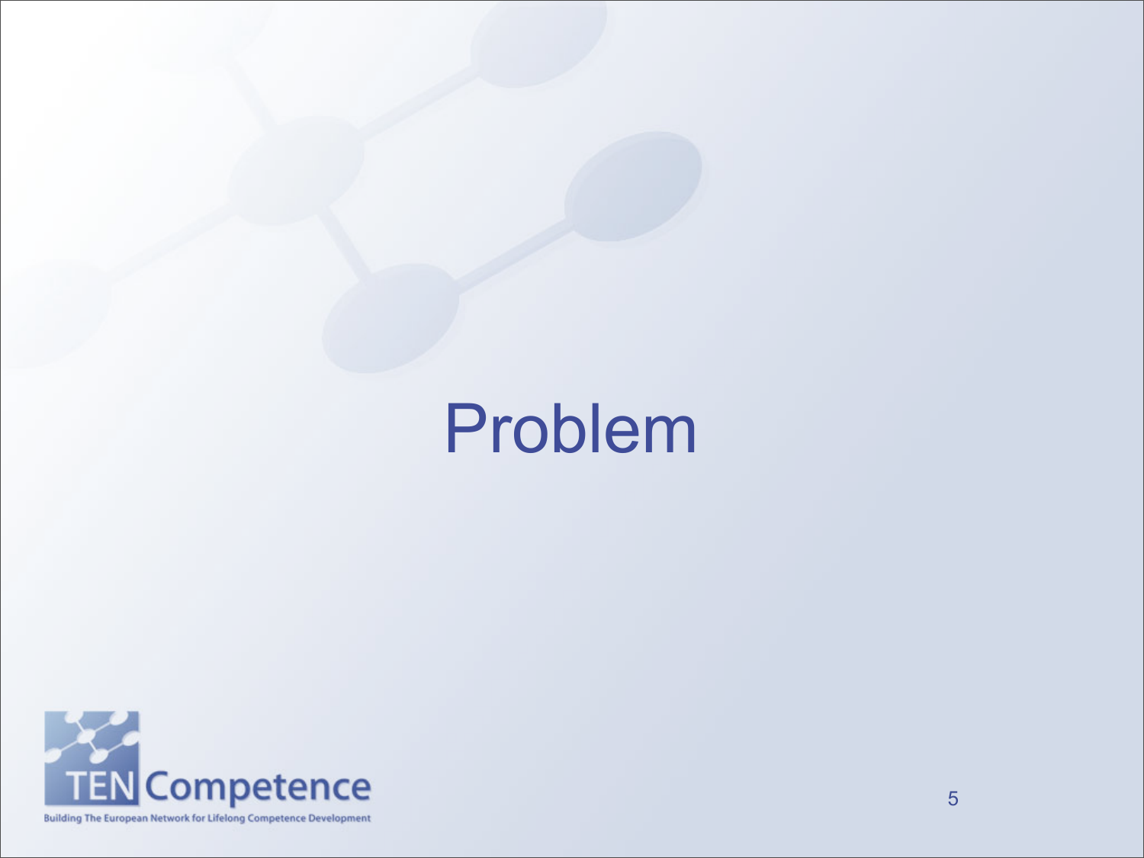# Problem

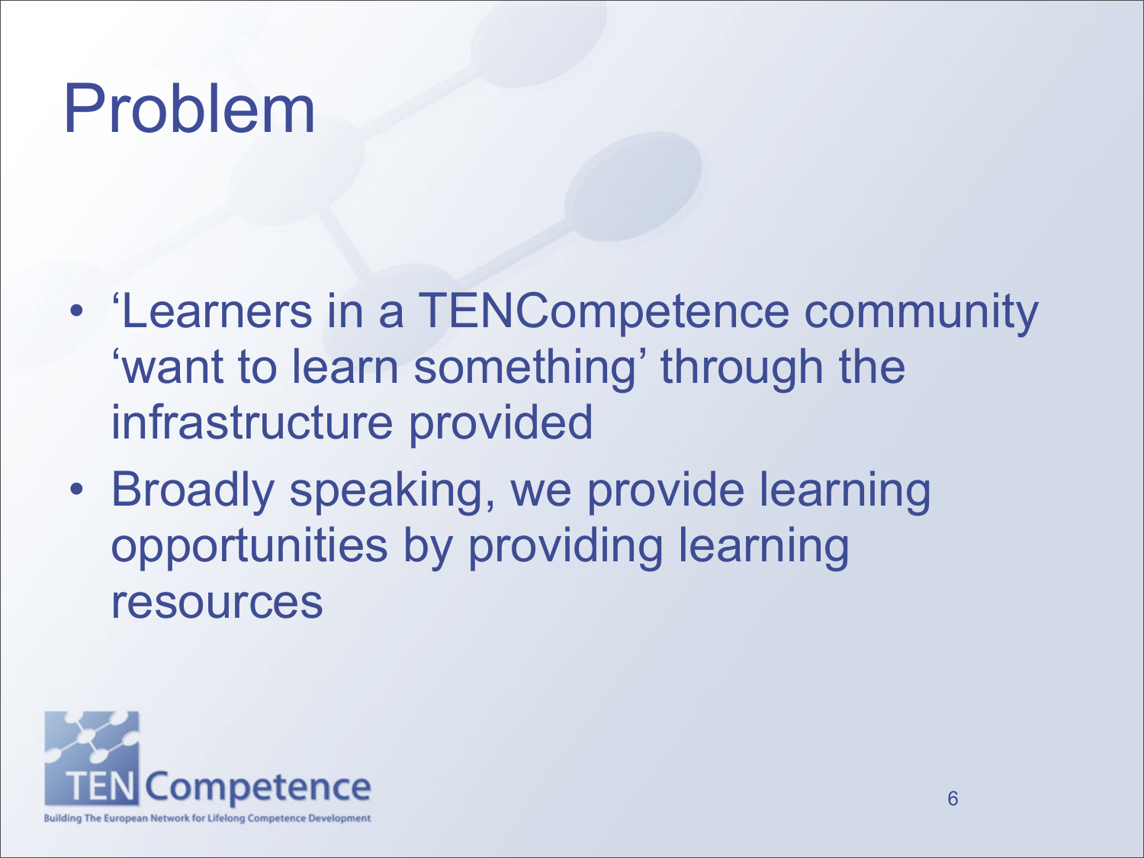# Problem

- 'Learners in a TENCompetence community 'want to learn something' through the infrastructure provided
- Broadly speaking, we provide learning opportunities by providing learning resources

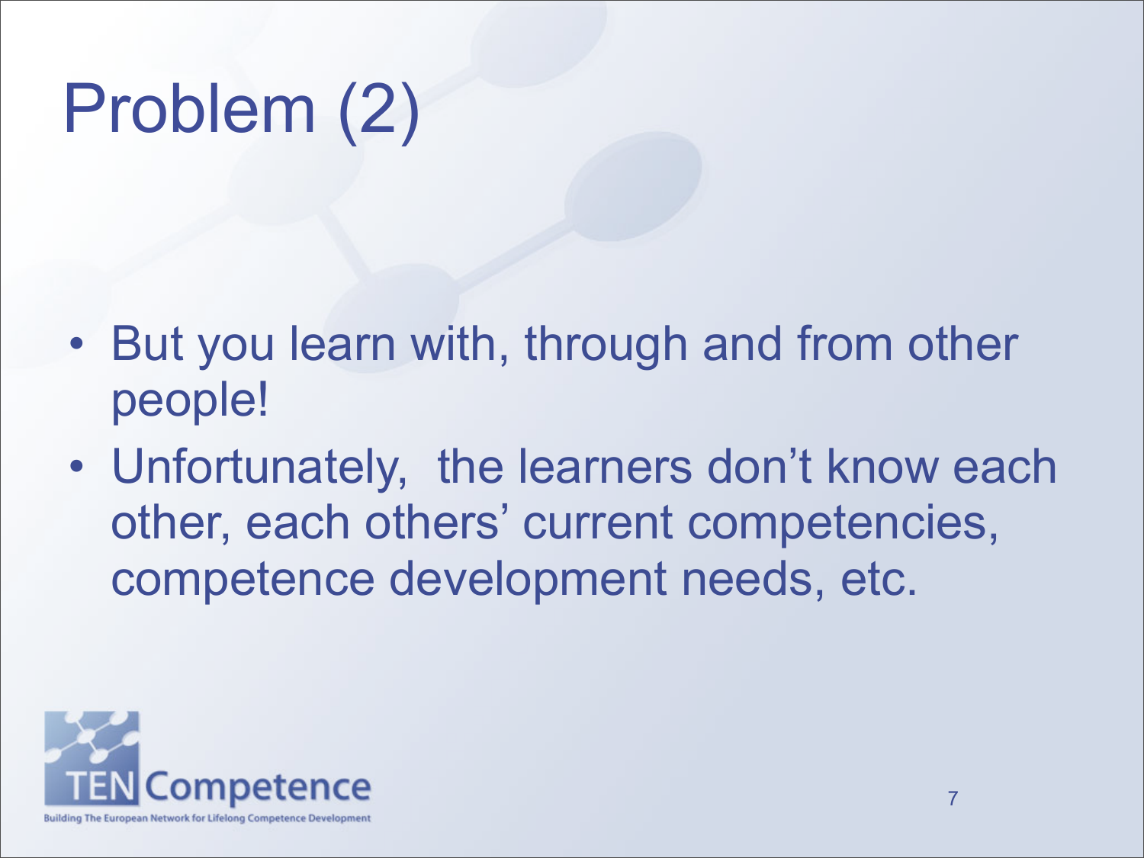# Problem (2)

- But you learn with, through and from other people!
- Unfortunately, the learners don't know each other, each others' current competencies, competence development needs, etc.

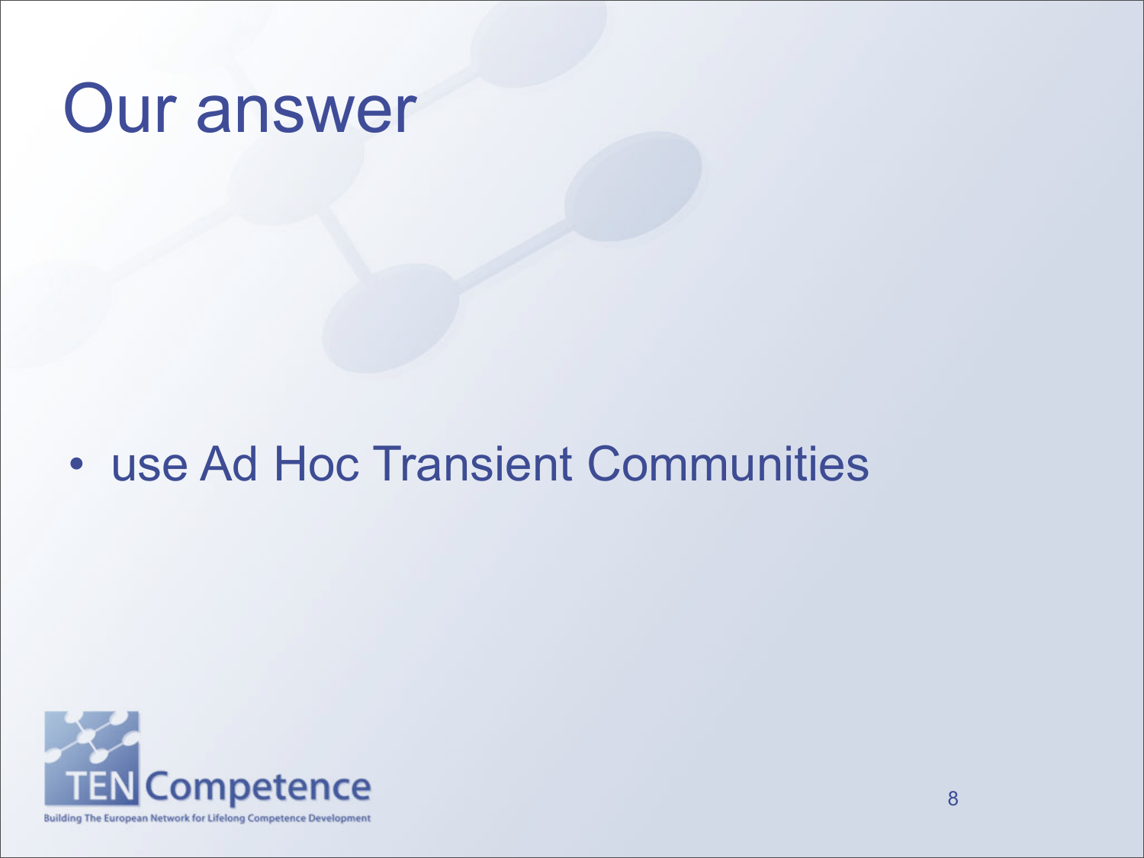# Our answer

## • use Ad Hoc Transient Communities

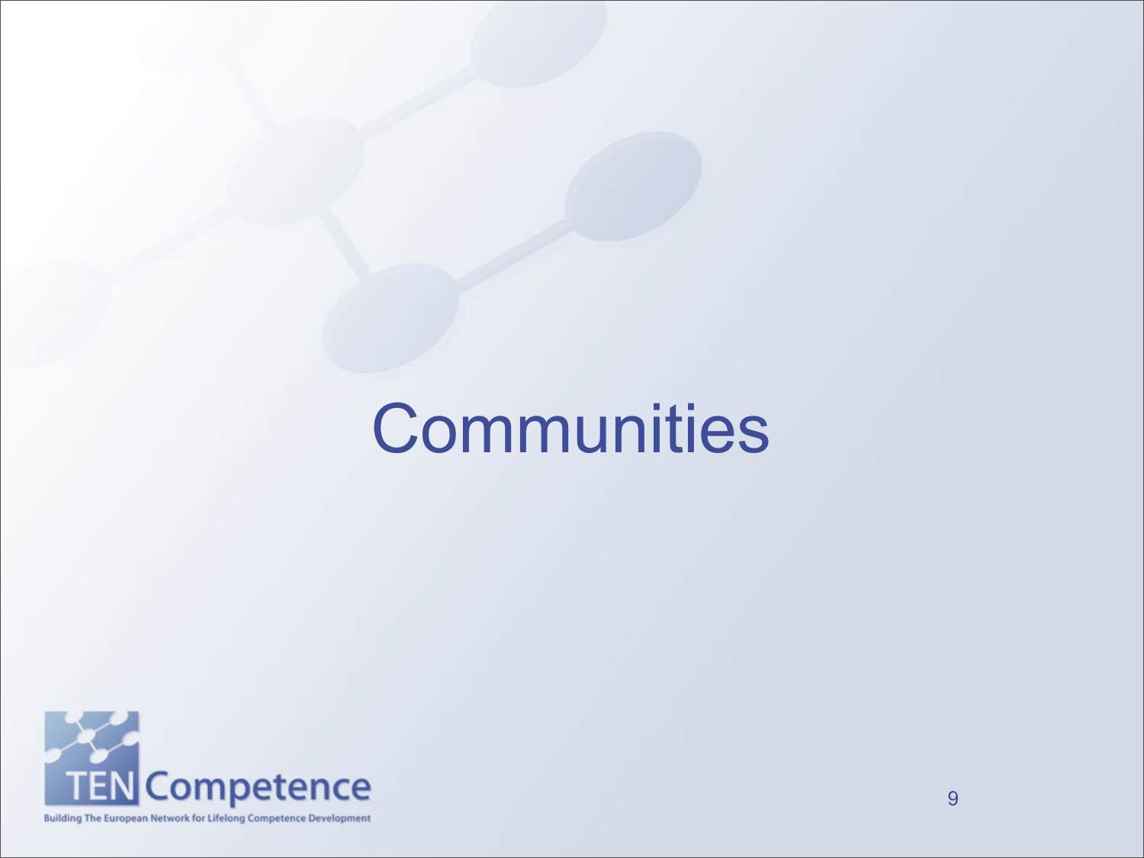# **Communities**

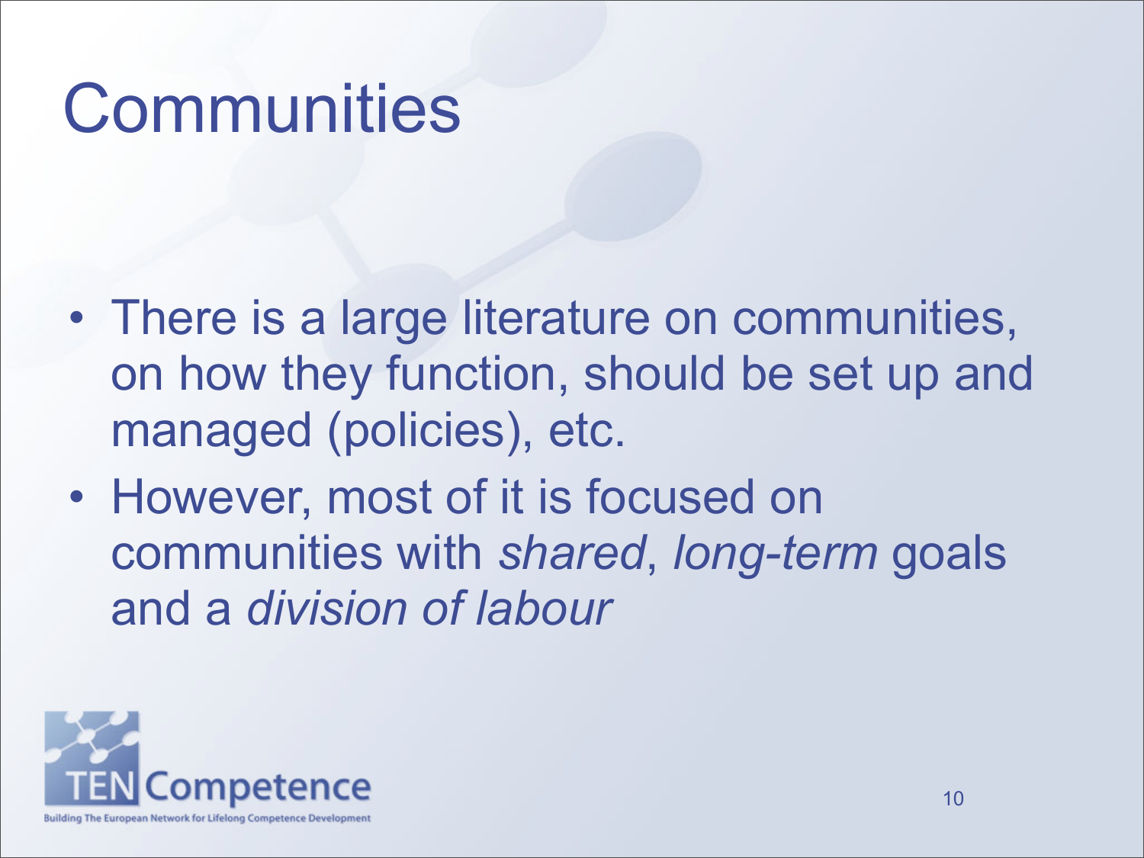# **Communities**

- There is a large literature on communities, on how they function, should be set up and managed (policies), etc.
- However, most of it is focused on communities with *shared*, *long-term* goals and a *division of labour*

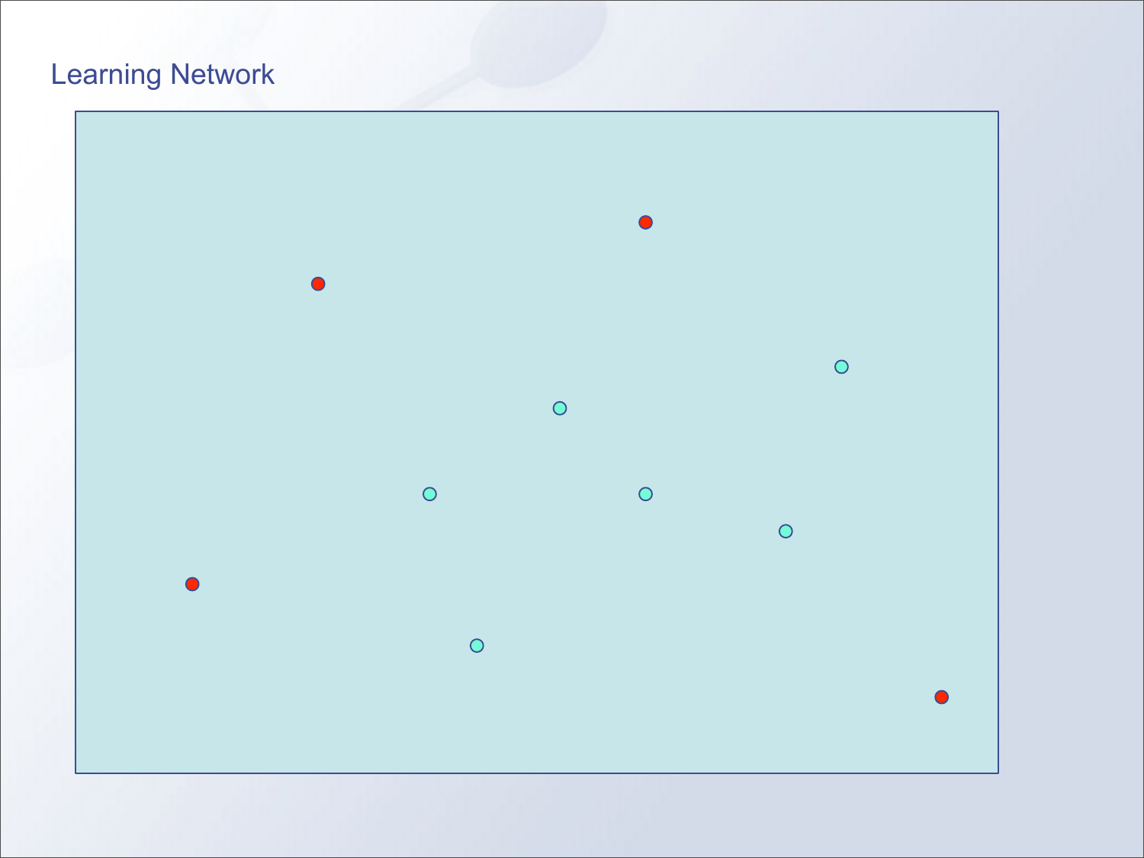## Learning Network

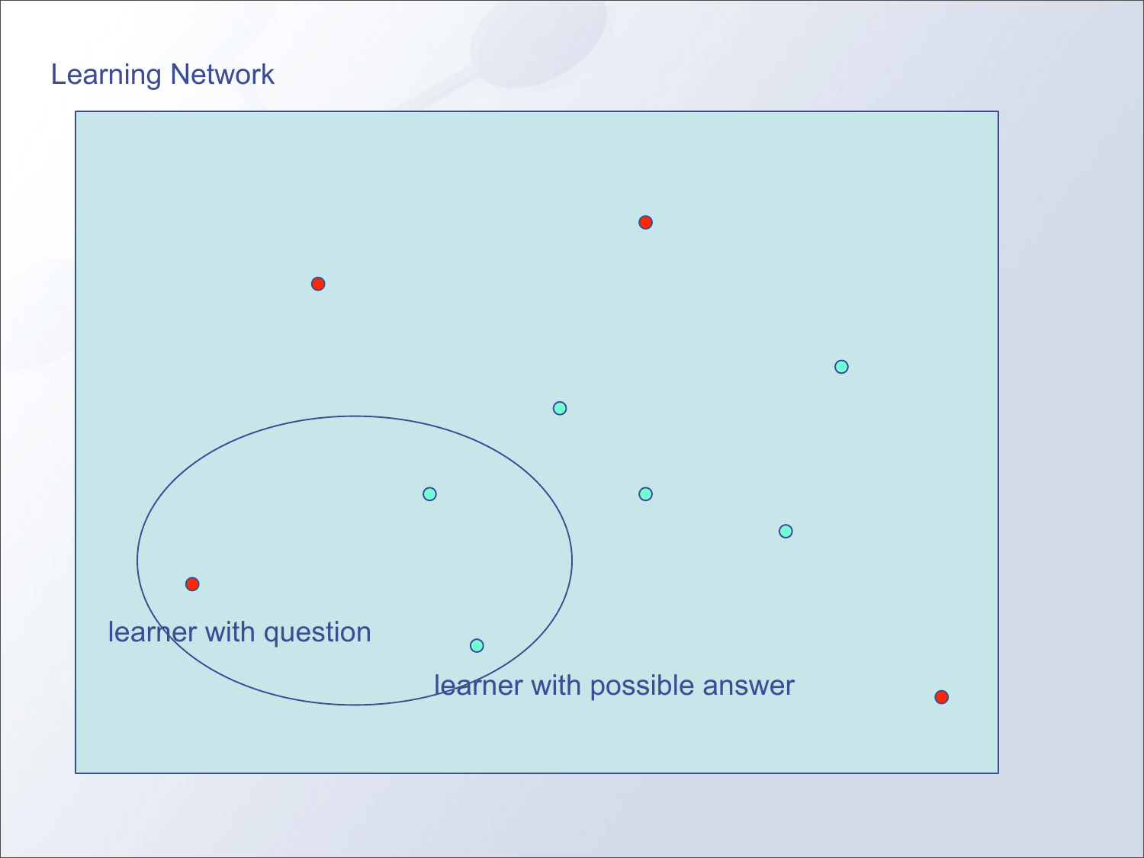## Learning Network

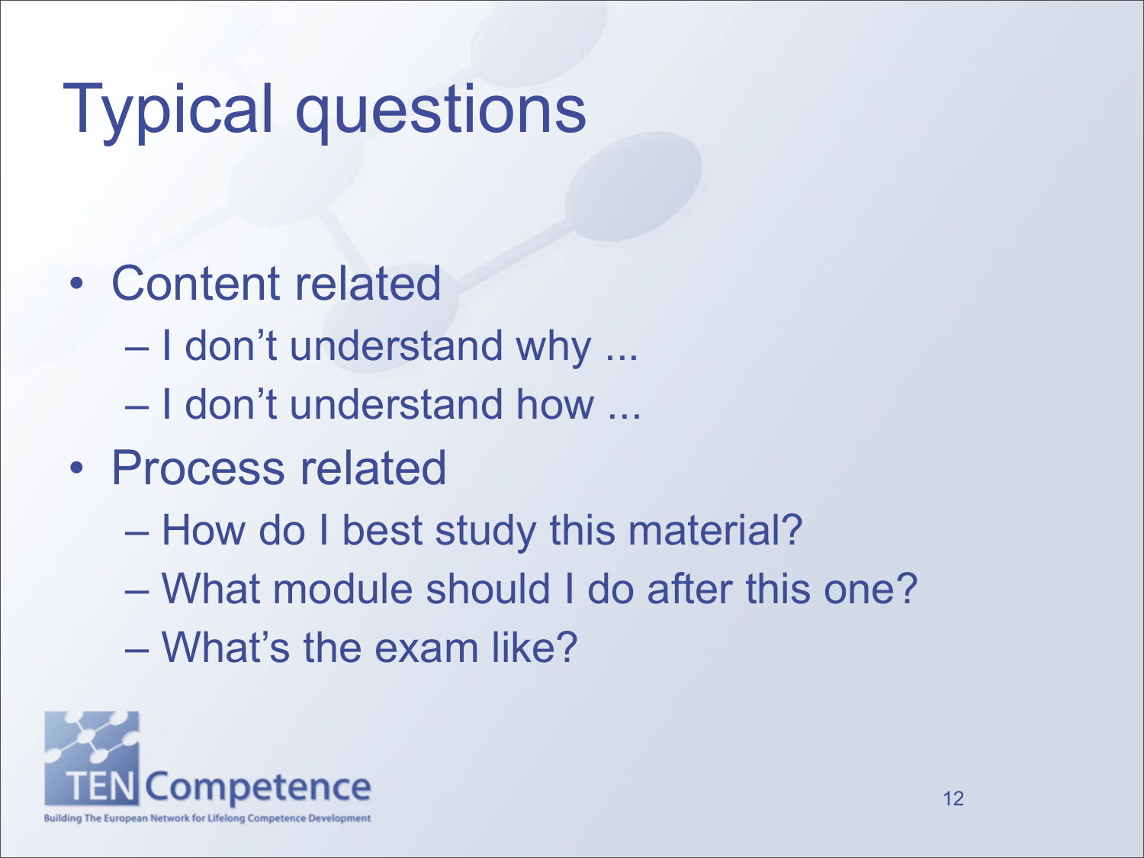# Typical questions

- Content related
	- I don't understand why ...
	- I don't understand how ...
- Process related
	- How do I best study this material?
	- What module should I do after this one?
	- What's the exam like?

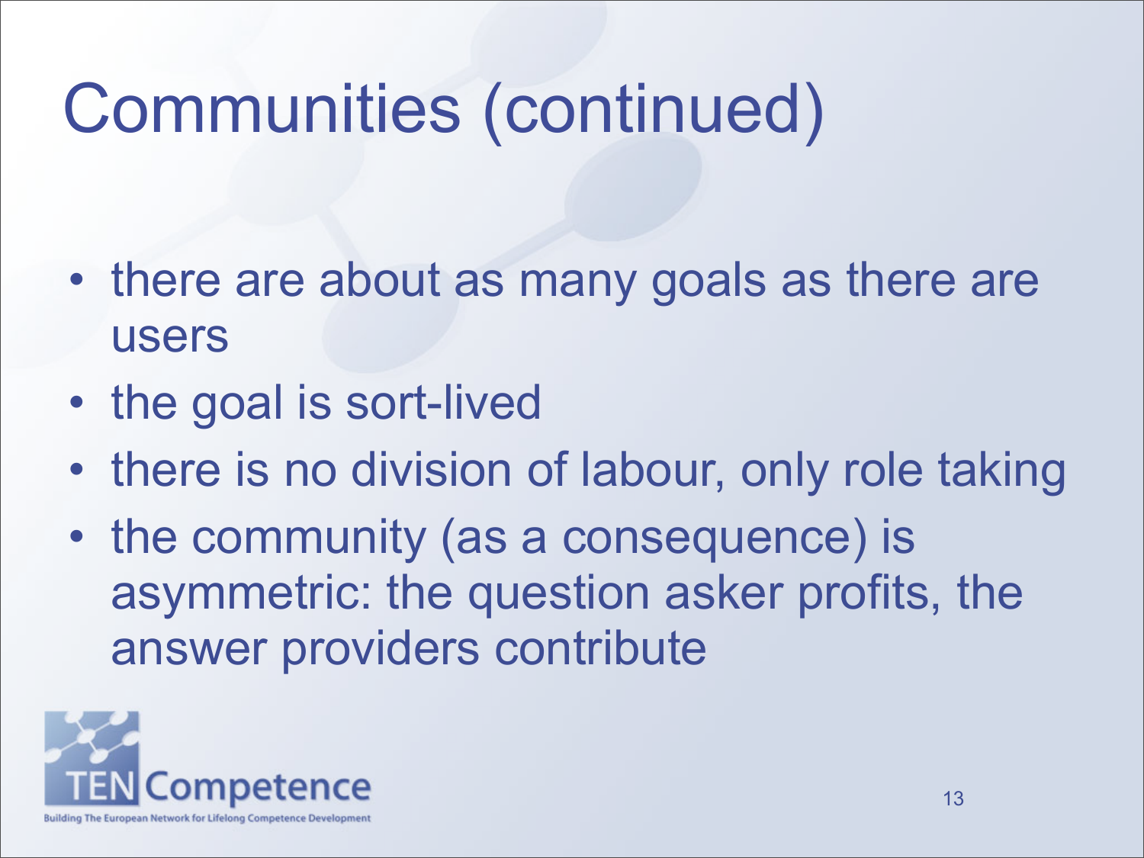# Communities (continued)

- there are about as many goals as there are users
- the goal is sort-lived
- there is no division of labour, only role taking
- the community (as a consequence) is asymmetric: the question asker profits, the answer providers contribute

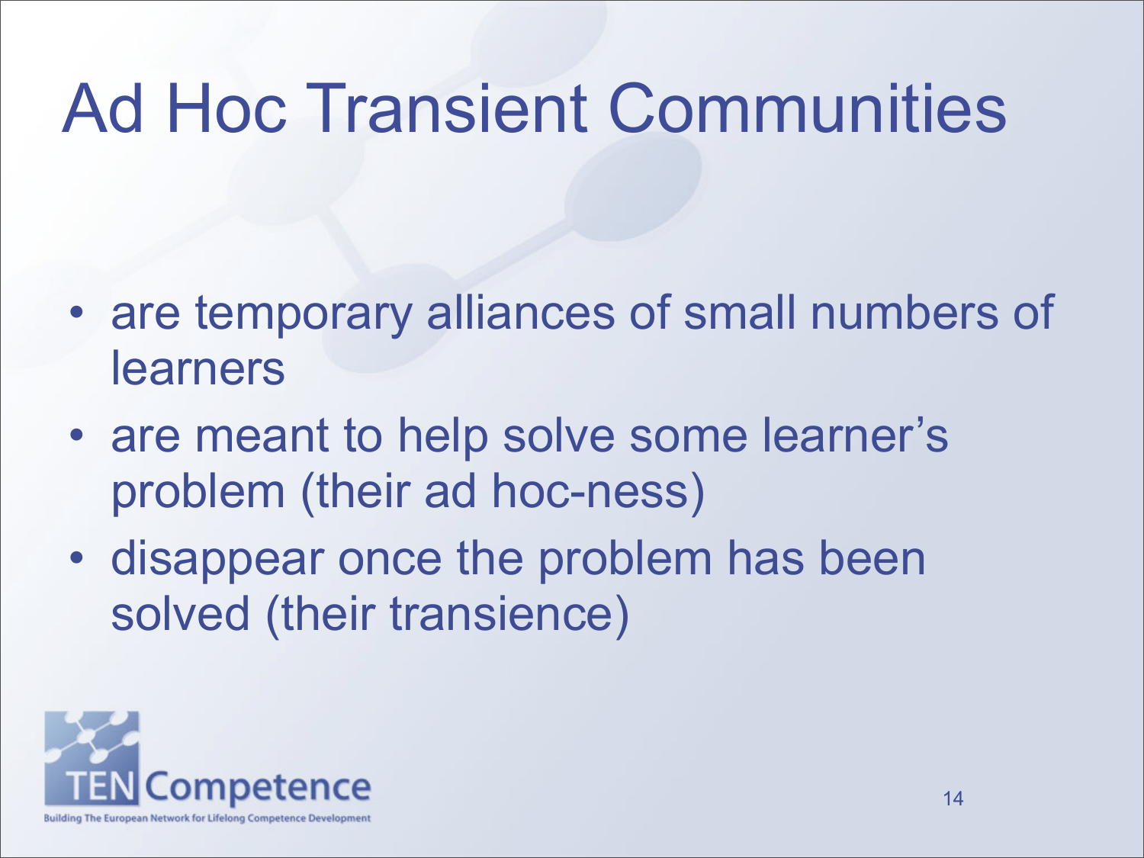# Ad Hoc Transient Communities

- are temporary alliances of small numbers of learners
- are meant to help solve some learner's problem (their ad hoc-ness)
- disappear once the problem has been solved (their transience)

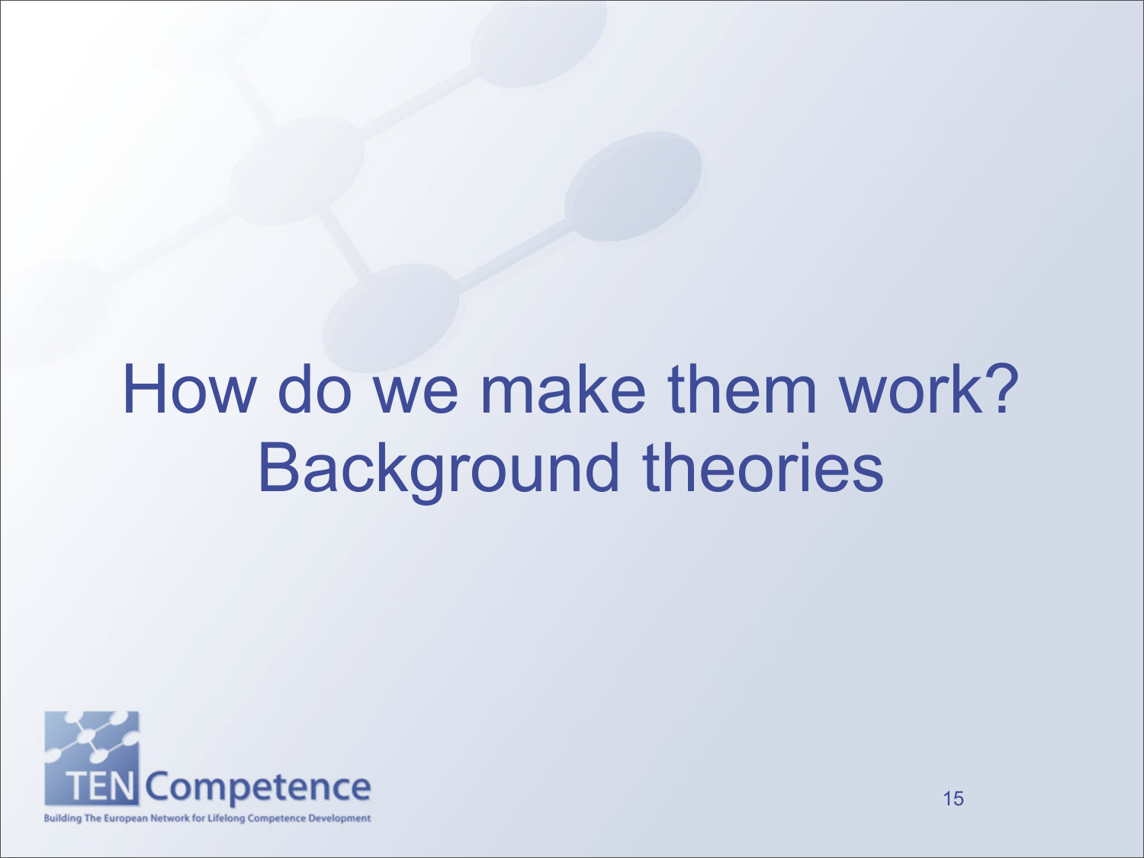# How do we make them work? Background theories

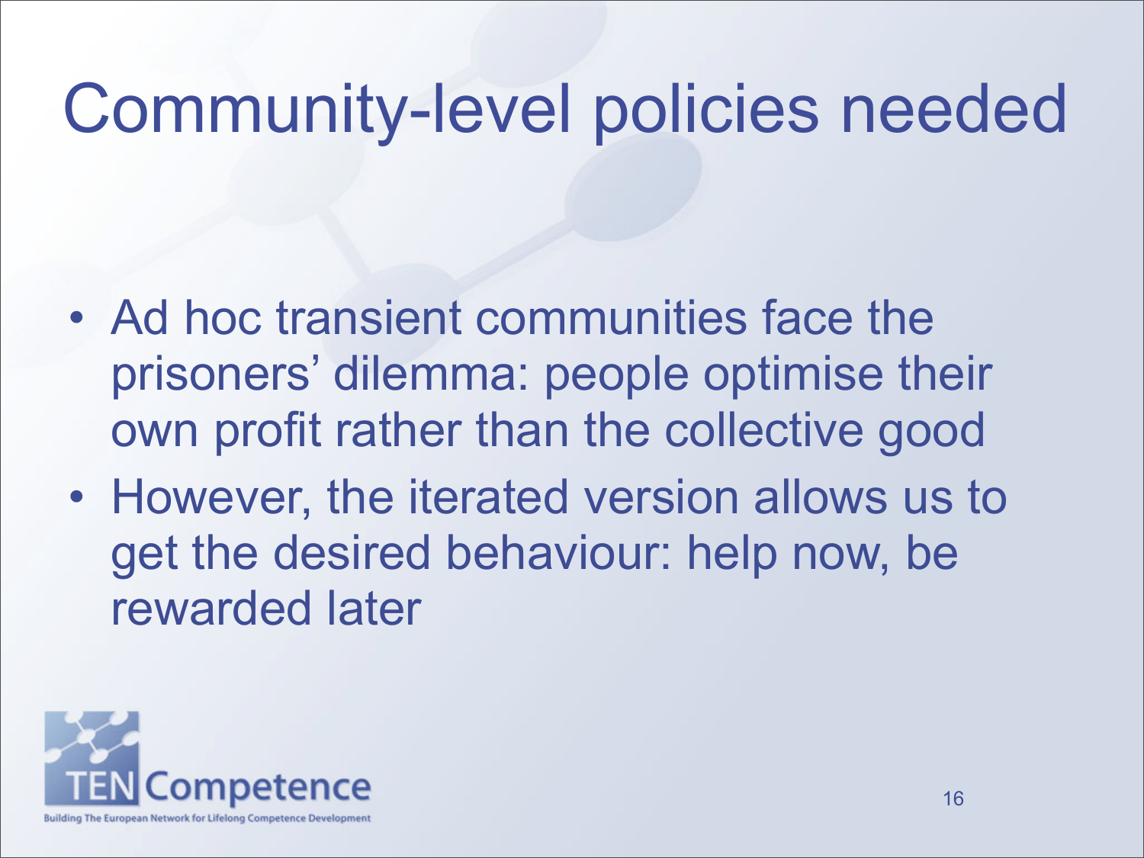# Community-level policies needed

- Ad hoc transient communities face the prisoners' dilemma: people optimise their own profit rather than the collective good
- However, the iterated version allows us to get the desired behaviour: help now, be rewarded later

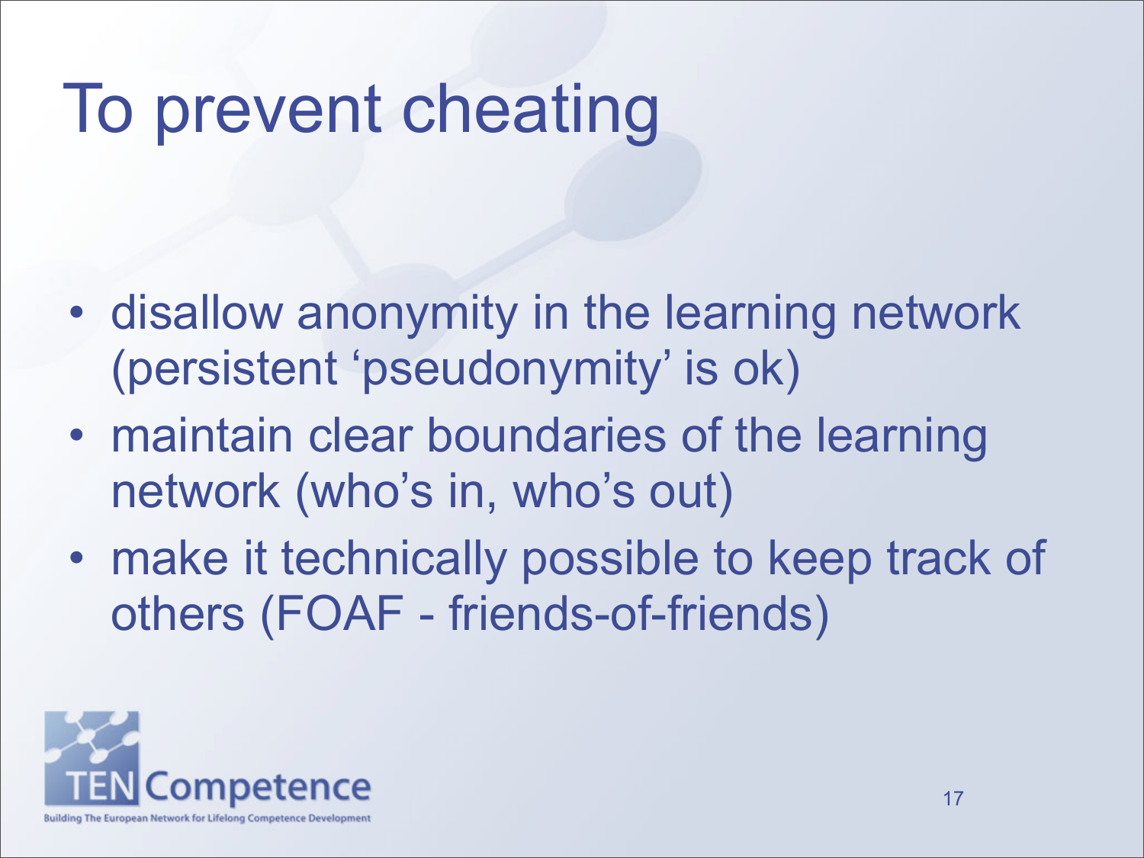# To prevent cheating

- disallow anonymity in the learning network (persistent 'pseudonymity' is ok)
- maintain clear boundaries of the learning network (who's in, who's out)
- make it technically possible to keep track of others (FOAF - friends-of-friends)

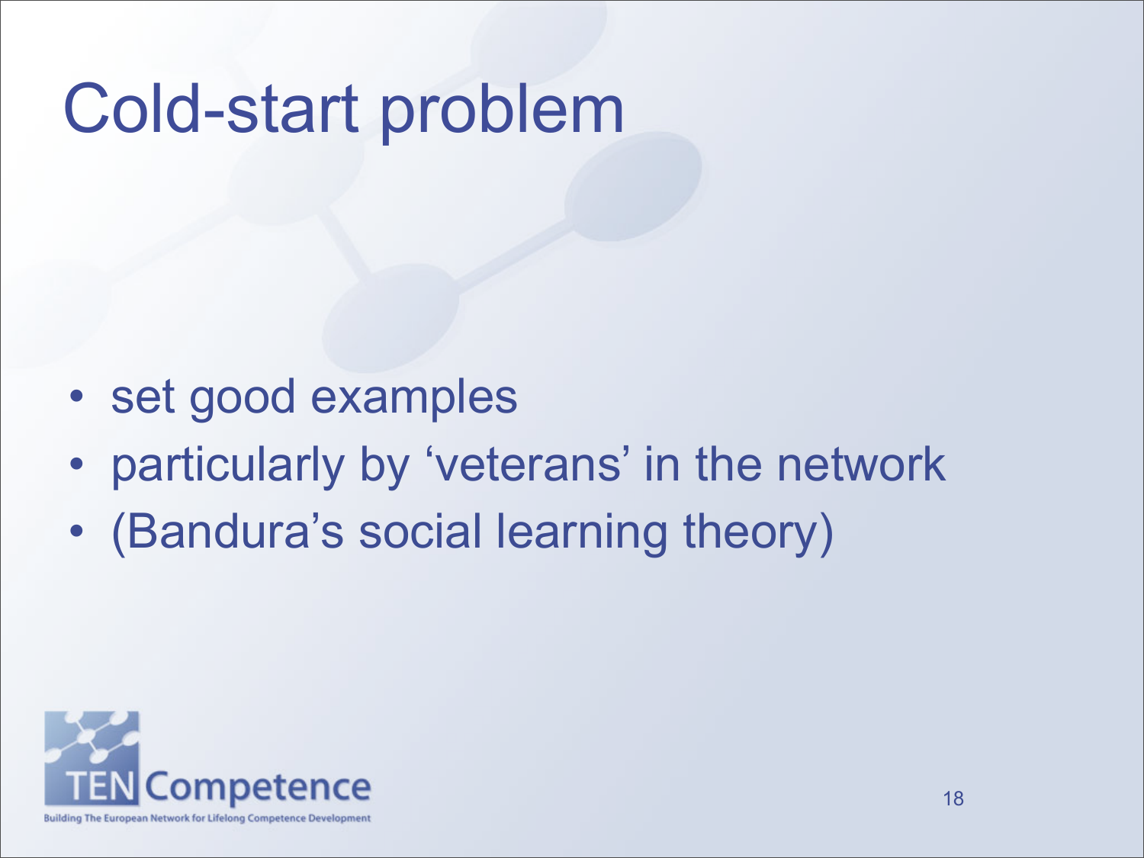# Cold-start problem

- set good examples
- particularly by 'veterans' in the network
- (Bandura's social learning theory)

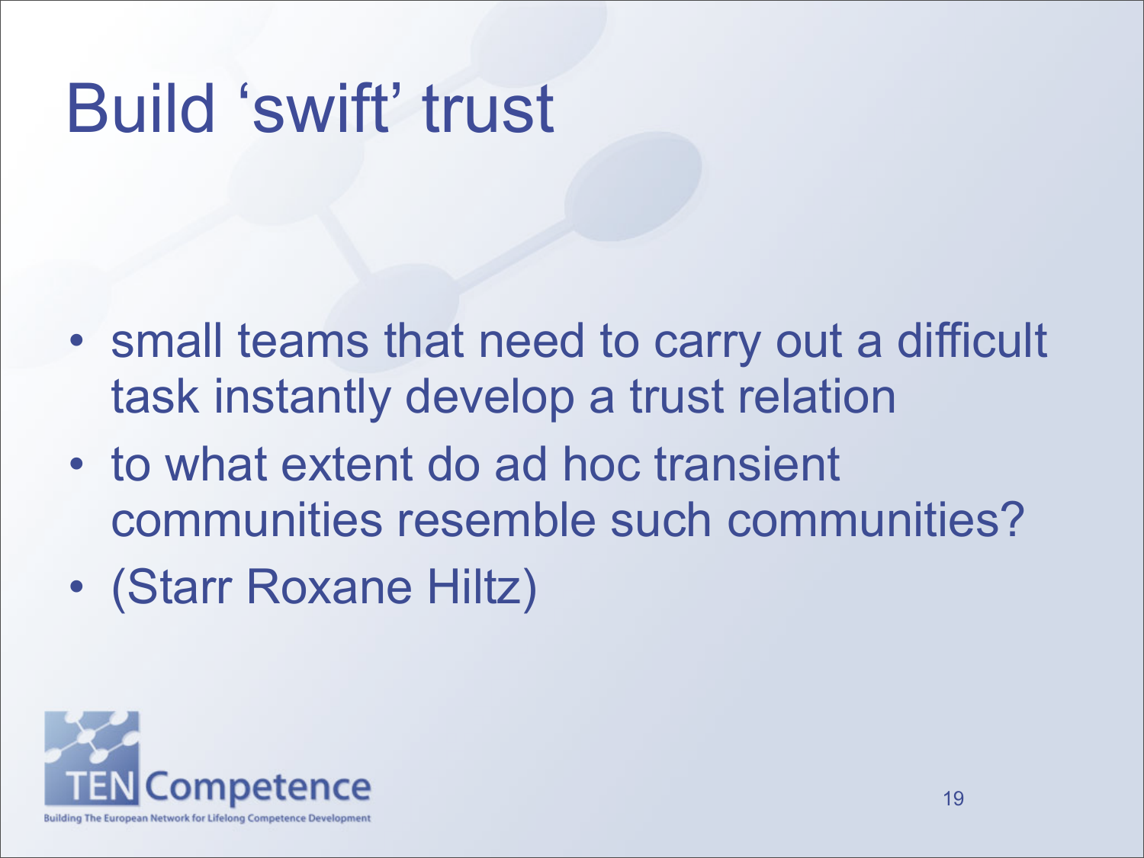# Build 'swift' trust

- small teams that need to carry out a difficult task instantly develop a trust relation
- to what extent do ad hoc transient communities resemble such communities?
- (Starr Roxane Hiltz)

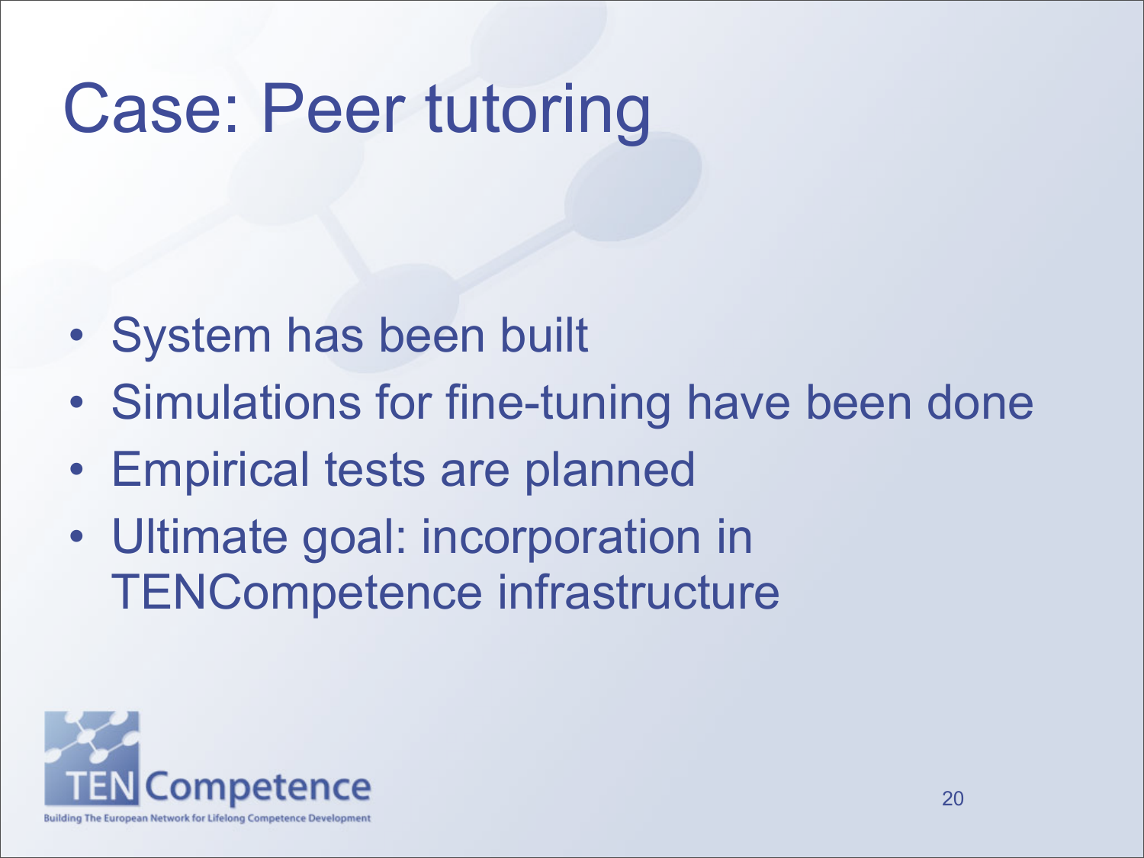# Case: Peer tutoring

- System has been built
- Simulations for fine-tuning have been done
- Empirical tests are planned
- Ultimate goal: incorporation in TENCompetence infrastructure